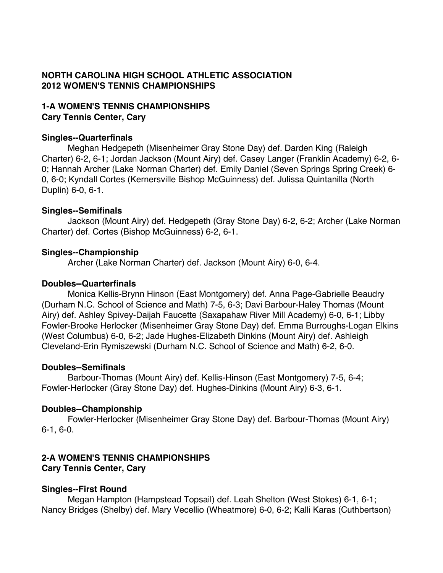# **NORTH CAROLINA HIGH SCHOOL ATHLETIC ASSOCIATION 2012 WOMEN'S TENNIS CHAMPIONSHIPS**

# **1-A WOMEN'S TENNIS CHAMPIONSHIPS Cary Tennis Center, Cary**

#### **Singles--Quarterfinals**

Meghan Hedgepeth (Misenheimer Gray Stone Day) def. Darden King (Raleigh Charter) 6-2, 6-1; Jordan Jackson (Mount Airy) def. Casey Langer (Franklin Academy) 6-2, 6- 0; Hannah Archer (Lake Norman Charter) def. Emily Daniel (Seven Springs Spring Creek) 6- 0, 6-0; Kyndall Cortes (Kernersville Bishop McGuinness) def. Julissa Quintanilla (North Duplin) 6-0, 6-1.

#### **Singles--Semifinals**

Jackson (Mount Airy) def. Hedgepeth (Gray Stone Day) 6-2, 6-2; Archer (Lake Norman Charter) def. Cortes (Bishop McGuinness) 6-2, 6-1.

#### **Singles--Championship**

Archer (Lake Norman Charter) def. Jackson (Mount Airy) 6-0, 6-4.

#### **Doubles--Quarterfinals**

Monica Kellis-Brynn Hinson (East Montgomery) def. Anna Page-Gabrielle Beaudry (Durham N.C. School of Science and Math) 7-5, 6-3; Davi Barbour-Haley Thomas (Mount Airy) def. Ashley Spivey-Daijah Faucette (Saxapahaw River Mill Academy) 6-0, 6-1; Libby Fowler-Brooke Herlocker (Misenheimer Gray Stone Day) def. Emma Burroughs-Logan Elkins (West Columbus) 6-0, 6-2; Jade Hughes-Elizabeth Dinkins (Mount Airy) def. Ashleigh Cleveland-Erin Rymiszewski (Durham N.C. School of Science and Math) 6-2, 6-0.

#### **Doubles--Semifinals**

Barbour-Thomas (Mount Airy) def. Kellis-Hinson (East Montgomery) 7-5, 6-4; Fowler-Herlocker (Gray Stone Day) def. Hughes-Dinkins (Mount Airy) 6-3, 6-1.

### **Doubles--Championship**

Fowler-Herlocker (Misenheimer Gray Stone Day) def. Barbour-Thomas (Mount Airy) 6-1, 6-0.

## **2-A WOMEN'S TENNIS CHAMPIONSHIPS Cary Tennis Center, Cary**

### **Singles--First Round**

Megan Hampton (Hampstead Topsail) def. Leah Shelton (West Stokes) 6-1, 6-1; Nancy Bridges (Shelby) def. Mary Vecellio (Wheatmore) 6-0, 6-2; Kalli Karas (Cuthbertson)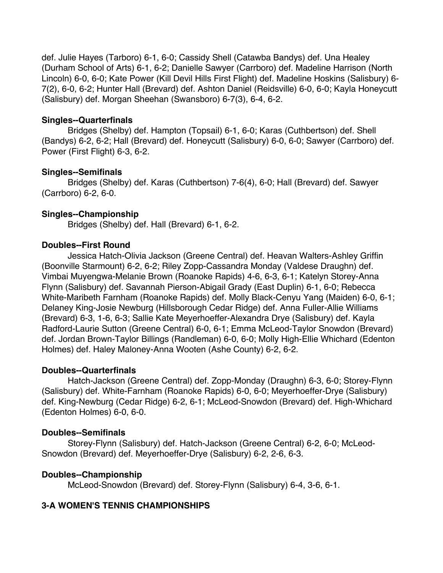def. Julie Hayes (Tarboro) 6-1, 6-0; Cassidy Shell (Catawba Bandys) def. Una Healey (Durham School of Arts) 6-1, 6-2; Danielle Sawyer (Carrboro) def. Madeline Harrison (North Lincoln) 6-0, 6-0; Kate Power (Kill Devil Hills First Flight) def. Madeline Hoskins (Salisbury) 6- 7(2), 6-0, 6-2; Hunter Hall (Brevard) def. Ashton Daniel (Reidsville) 6-0, 6-0; Kayla Honeycutt (Salisbury) def. Morgan Sheehan (Swansboro) 6-7(3), 6-4, 6-2.

### **Singles--Quarterfinals**

Bridges (Shelby) def. Hampton (Topsail) 6-1, 6-0; Karas (Cuthbertson) def. Shell (Bandys) 6-2, 6-2; Hall (Brevard) def. Honeycutt (Salisbury) 6-0, 6-0; Sawyer (Carrboro) def. Power (First Flight) 6-3, 6-2.

## **Singles--Semifinals**

Bridges (Shelby) def. Karas (Cuthbertson) 7-6(4), 6-0; Hall (Brevard) def. Sawyer (Carrboro) 6-2, 6-0.

# **Singles--Championship**

Bridges (Shelby) def. Hall (Brevard) 6-1, 6-2.

## **Doubles--First Round**

Jessica Hatch-Olivia Jackson (Greene Central) def. Heavan Walters-Ashley Griffin (Boonville Starmount) 6-2, 6-2; Riley Zopp-Cassandra Monday (Valdese Draughn) def. Vimbai Muyengwa-Melanie Brown (Roanoke Rapids) 4-6, 6-3, 6-1; Katelyn Storey-Anna Flynn (Salisbury) def. Savannah Pierson-Abigail Grady (East Duplin) 6-1, 6-0; Rebecca White-Maribeth Farnham (Roanoke Rapids) def. Molly Black-Cenyu Yang (Maiden) 6-0, 6-1; Delaney King-Josie Newburg (Hillsborough Cedar Ridge) def. Anna Fuller-Allie Williams (Brevard) 6-3, 1-6, 6-3; Sallie Kate Meyerhoeffer-Alexandra Drye (Salisbury) def. Kayla Radford-Laurie Sutton (Greene Central) 6-0, 6-1; Emma McLeod-Taylor Snowdon (Brevard) def. Jordan Brown-Taylor Billings (Randleman) 6-0, 6-0; Molly High-Ellie Whichard (Edenton Holmes) def. Haley Maloney-Anna Wooten (Ashe County) 6-2, 6-2.

### **Doubles--Quarterfinals**

Hatch-Jackson (Greene Central) def. Zopp-Monday (Draughn) 6-3, 6-0; Storey-Flynn (Salisbury) def. White-Farnham (Roanoke Rapids) 6-0, 6-0; Meyerhoeffer-Drye (Salisbury) def. King-Newburg (Cedar Ridge) 6-2, 6-1; McLeod-Snowdon (Brevard) def. High-Whichard (Edenton Holmes) 6-0, 6-0.

# **Doubles--Semifinals**

Storey-Flynn (Salisbury) def. Hatch-Jackson (Greene Central) 6-2, 6-0; McLeod-Snowdon (Brevard) def. Meyerhoeffer-Drye (Salisbury) 6-2, 2-6, 6-3.

# **Doubles--Championship**

McLeod-Snowdon (Brevard) def. Storey-Flynn (Salisbury) 6-4, 3-6, 6-1.

# **3-A WOMEN'S TENNIS CHAMPIONSHIPS**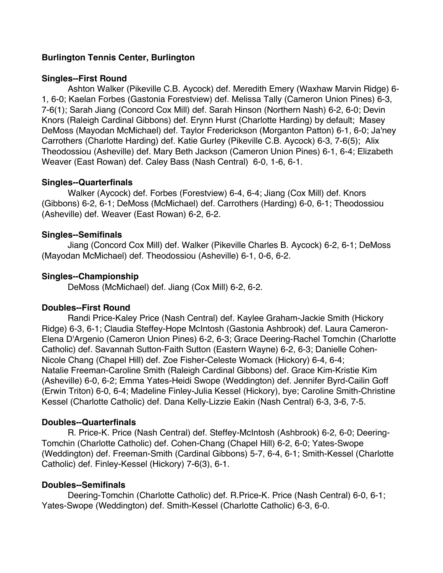## **Burlington Tennis Center, Burlington**

#### **Singles--First Round**

Ashton Walker (Pikeville C.B. Aycock) def. Meredith Emery (Waxhaw Marvin Ridge) 6- 1, 6-0; Kaelan Forbes (Gastonia Forestview) def. Melissa Tally (Cameron Union Pines) 6-3, 7-6(1); Sarah Jiang (Concord Cox Mill) def. Sarah Hinson (Northern Nash) 6-2, 6-0; Devin Knors (Raleigh Cardinal Gibbons) def. Erynn Hurst (Charlotte Harding) by default; Masey DeMoss (Mayodan McMichael) def. Taylor Frederickson (Morganton Patton) 6-1, 6-0; Ja'ney Carrothers (Charlotte Harding) def. Katie Gurley (Pikeville C.B. Aycock) 6-3, 7-6(5); Alix Theodossiou (Asheville) def. Mary Beth Jackson (Cameron Union Pines) 6-1, 6-4; Elizabeth Weaver (East Rowan) def. Caley Bass (Nash Central) 6-0, 1-6, 6-1.

#### **Singles--Quarterfinals**

Walker (Aycock) def. Forbes (Forestview) 6-4, 6-4; Jiang (Cox Mill) def. Knors (Gibbons) 6-2, 6-1; DeMoss (McMichael) def. Carrothers (Harding) 6-0, 6-1; Theodossiou (Asheville) def. Weaver (East Rowan) 6-2, 6-2.

#### **Singles--Semifinals**

Jiang (Concord Cox Mill) def. Walker (Pikeville Charles B. Aycock) 6-2, 6-1; DeMoss (Mayodan McMichael) def. Theodossiou (Asheville) 6-1, 0-6, 6-2.

#### **Singles--Championship**

DeMoss (McMichael) def. Jiang (Cox Mill) 6-2, 6-2.

#### **Doubles--First Round**

Randi Price-Kaley Price (Nash Central) def. Kaylee Graham-Jackie Smith (Hickory Ridge) 6-3, 6-1; Claudia Steffey-Hope McIntosh (Gastonia Ashbrook) def. Laura Cameron-Elena D'Argenio (Cameron Union Pines) 6-2, 6-3; Grace Deering-Rachel Tomchin (Charlotte Catholic) def. Savannah Sutton-Faith Sutton (Eastern Wayne) 6-2, 6-3; Danielle Cohen-Nicole Chang (Chapel Hill) def. Zoe Fisher-Celeste Womack (Hickory) 6-4, 6-4; Natalie Freeman-Caroline Smith (Raleigh Cardinal Gibbons) def. Grace Kim-Kristie Kim (Asheville) 6-0, 6-2; Emma Yates-Heidi Swope (Weddington) def. Jennifer Byrd-Cailin Goff (Erwin Triton) 6-0, 6-4; Madeline Finley-Julia Kessel (Hickory), bye; Caroline Smith-Christine Kessel (Charlotte Catholic) def. Dana Kelly-Lizzie Eakin (Nash Central) 6-3, 3-6, 7-5.

#### **Doubles--Quarterfinals**

R. Price-K. Price (Nash Central) def. Steffey-McIntosh (Ashbrook) 6-2, 6-0; Deering-Tomchin (Charlotte Catholic) def. Cohen-Chang (Chapel Hill) 6-2, 6-0; Yates-Swope (Weddington) def. Freeman-Smith (Cardinal Gibbons) 5-7, 6-4, 6-1; Smith-Kessel (Charlotte Catholic) def. Finley-Kessel (Hickory) 7-6(3), 6-1.

#### **Doubles--Semifinals**

Deering-Tomchin (Charlotte Catholic) def. R.Price-K. Price (Nash Central) 6-0, 6-1; Yates-Swope (Weddington) def. Smith-Kessel (Charlotte Catholic) 6-3, 6-0.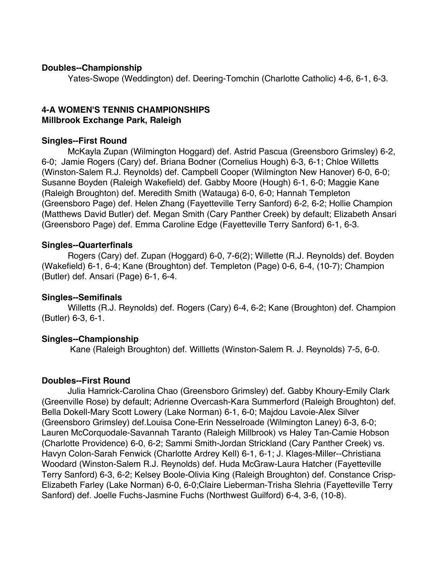#### **Doubles--Championship**

Yates-Swope (Weddington) def. Deering-Tomchin (Charlotte Catholic) 4-6, 6-1, 6-3.

### **4-A WOMEN'S TENNIS CHAMPIONSHIPS Millbrook Exchange Park, Raleigh**

#### **Singles--First Round**

McKayla Zupan (Wilmington Hoggard) def. Astrid Pascua (Greensboro Grimsley) 6-2, 6-0; Jamie Rogers (Cary) def. Briana Bodner (Cornelius Hough) 6-3, 6-1; Chloe Willetts (Winston-Salem R.J. Reynolds) def. Campbell Cooper (Wilmington New Hanover) 6-0, 6-0; Susanne Boyden (Raleigh Wakefield) def. Gabby Moore (Hough) 6-1, 6-0; Maggie Kane (Raleigh Broughton) def. Meredith Smith (Watauga) 6-0, 6-0; Hannah Templeton (Greensboro Page) def. Helen Zhang (Fayetteville Terry Sanford) 6-2, 6-2; Hollie Champion (Matthews David Butler) def. Megan Smith (Cary Panther Creek) by default; Elizabeth Ansari (Greensboro Page) def. Emma Caroline Edge (Fayetteville Terry Sanford) 6-1, 6-3.

#### **Singles--Quarterfinals**

Rogers (Cary) def. Zupan (Hoggard) 6-0, 7-6(2); Willette (R.J. Reynolds) def. Boyden (Wakefield) 6-1, 6-4; Kane (Broughton) def. Templeton (Page) 0-6, 6-4, (10-7); Champion (Butler) def. Ansari (Page) 6-1, 6-4.

### **Singles--Semifinals**

Willetts (R.J. Reynolds) def. Rogers (Cary) 6-4, 6-2; Kane (Broughton) def. Champion (Butler) 6-3, 6-1.

### **Singles--Championship**

Kane (Raleigh Broughton) def. Willletts (Winston-Salem R. J. Reynolds) 7-5, 6-0.

### **Doubles--First Round**

Julia Hamrick-Carolina Chao (Greensboro Grimsley) def. Gabby Khoury-Emily Clark (Greenville Rose) by default; Adrienne Overcash-Kara Summerford (Raleigh Broughton) def. Bella Dokell-Mary Scott Lowery (Lake Norman) 6-1, 6-0; Majdou Lavoie-Alex Silver (Greensboro Grimsley) def.Louisa Cone-Erin Nesselroade (Wilmington Laney) 6-3, 6-0; Lauren McCorquodale-Savannah Taranto (Raleigh Millbrook) vs Haley Tan-Camie Hobson (Charlotte Providence) 6-0, 6-2; Sammi Smith-Jordan Strickland (Cary Panther Creek) vs. Havyn Colon-Sarah Fenwick (Charlotte Ardrey Kell) 6-1, 6-1; J. Klages-Miller--Christiana Woodard (Winston-Salem R.J. Reynolds) def. Huda McGraw-Laura Hatcher (Fayetteville Terry Sanford) 6-3, 6-2; Kelsey Boole-Olivia King (Raleigh Broughton) def. Constance Crisp-Elizabeth Farley (Lake Norman) 6-0, 6-0;Claire Lieberman-Trisha Slehria (Fayetteville Terry Sanford) def. Joelle Fuchs-Jasmine Fuchs (Northwest Guilford) 6-4, 3-6, (10-8).